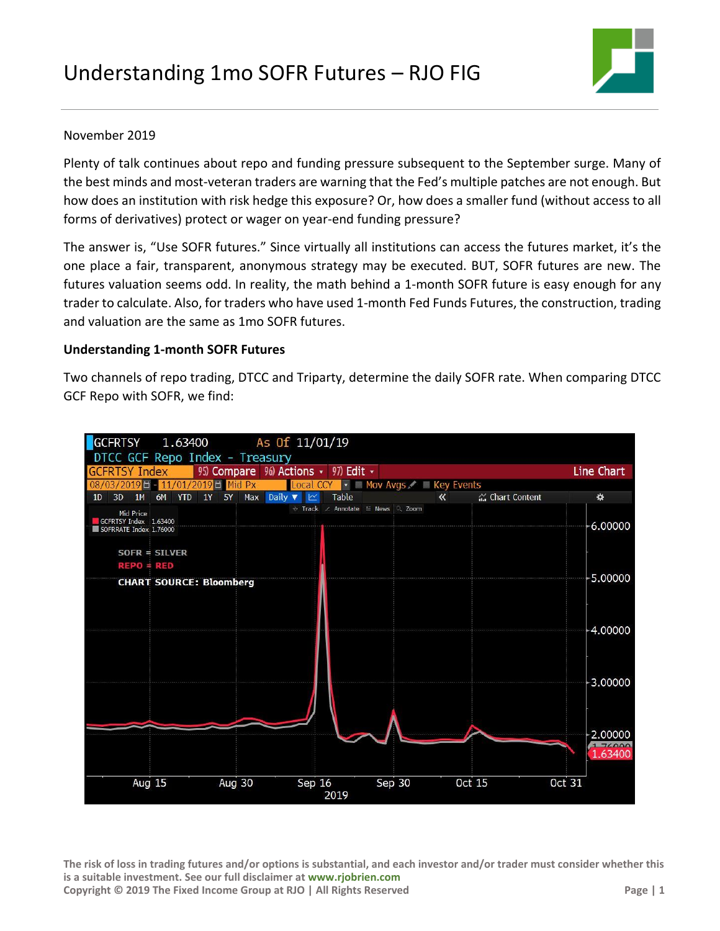

## November 2019

Plenty of talk continues about repo and funding pressure subsequent to the September surge. Many of the best minds and most-veteran traders are warning that the Fed's multiple patches are not enough. But how does an institution with risk hedge this exposure? Or, how does a smaller fund (without access to all forms of derivatives) protect or wager on year-end funding pressure?

The answer is, "Use SOFR futures." Since virtually all institutions can access the futures market, it's the one place a fair, transparent, anonymous strategy may be executed. BUT, SOFR futures are new. The futures valuation seems odd. In reality, the math behind a 1-month SOFR future is easy enough for any trader to calculate. Also, for traders who have used 1-month Fed Funds Futures, the construction, trading and valuation are the same as 1mo SOFR futures.

## **Understanding 1-month SOFR Futures**

Two channels of repo trading, DTCC and Triparty, determine the daily SOFR rate. When comparing DTCC GCF Repo with SOFR, we find:



**The risk of loss in trading futures and/or options is substantial, and each investor and/or trader must consider whether this is a suitable investment. See our full disclaimer at [www.rjobrien.com](http://www.rjobrien.com/) Copyright © 2019 The Fixed Income Group at RJO | All Rights Reserved Page | 1**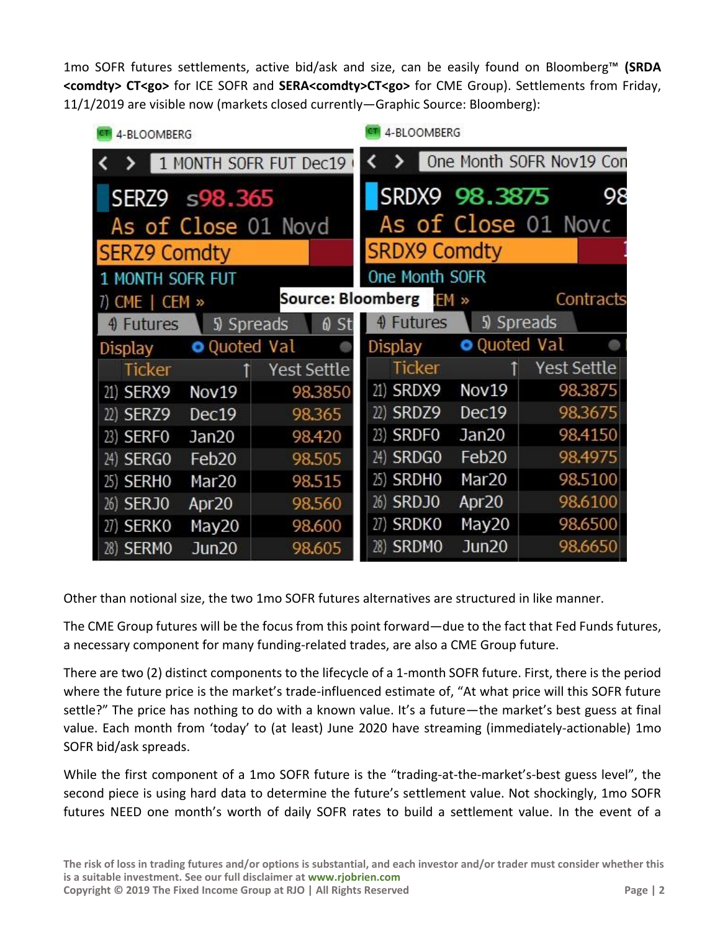1mo SOFR futures settlements, active bid/ask and size, can be easily found on Bloomberg™ **(SRDA <comdty> CT<go>** for ICE SOFR and **SERA<comdty>CT<go>** for CME Group). Settlements from Friday, 11/1/2019 are visible now (markets closed currently—Graphic Source: Bloomberg):

| 4-BLOOMBERG                          | 4-BLOOMBERG              |             |                          |           |               |                   |  |             |
|--------------------------------------|--------------------------|-------------|--------------------------|-----------|---------------|-------------------|--|-------------|
| 1 MONTH SOFR FUT Dec19               |                          |             | One Month SOFR Nov19 Con |           |               |                   |  |             |
| SERZ9 s98.365                        |                          |             | SRDX9 98.3875            |           | 98            |                   |  |             |
| As of Close 01 Novd                  | As of Close 01 Novc      |             |                          |           |               |                   |  |             |
| <b>SERZ9 Comdty</b>                  | <b>SRDX9 Comdty</b>      |             |                          |           |               |                   |  |             |
| MONTH SOFR FUT                       | One Month SOFR           |             |                          |           |               |                   |  |             |
| 7) CME $\mid$ CEM $\gg$              | <b>Source: Bloomberg</b> |             | EM »                     |           | Contracts     |                   |  |             |
| 6)<br>4) Futures<br>5) Spreads<br>St |                          |             |                          |           | 4) Futures    | 5) Spreads        |  |             |
| Display                              | <b>O</b> Quoted Val      |             |                          | Display   |               | O Quoted Val      |  |             |
| <b>Ticker</b>                        |                          | Yest Settle |                          |           | <b>Ticker</b> |                   |  | Yest Settle |
| 21) SERX9                            | Nov19                    | 98.3850     |                          | 21) SRDX9 |               | Nov19             |  | 98.3875     |
| 22) SERZ9                            | Dec19                    | 98.365      |                          | 22) SRDZ9 |               | Dec19             |  | 98.3675     |
| 23) SERFO                            | Jan20                    | 98.420      |                          | 23) SRDFO |               | Jan20             |  | 98.4150     |
| 24) SERGO                            | Feb <sub>20</sub>        | 98.505      |                          | 24) SRDGO |               | Feb <sub>20</sub> |  | 98.4975     |
| 25) SERHO                            | Mar <sub>20</sub>        | 98.515      |                          | 25) SRDHO |               | Mar <sub>20</sub> |  | 98.5100     |
| 26) SERJO                            | Apr <sub>20</sub>        | 98.560      |                          | 26) SRDJ0 |               | Apr <sub>20</sub> |  | 98.6100     |
| 27) SERKO                            | May20                    | 98.600      |                          | 27) SRDKO |               | May20             |  | 98.6500     |
| 28) SERMO                            | Jun <sub>20</sub>        | 98.605      |                          | 28) SRDMO |               | Jun20             |  | 98.6650     |

Other than notional size, the two 1mo SOFR futures alternatives are structured in like manner.

The CME Group futures will be the focus from this point forward—due to the fact that Fed Funds futures, a necessary component for many funding-related trades, are also a CME Group future.

There are two (2) distinct components to the lifecycle of a 1-month SOFR future. First, there is the period where the future price is the market's trade-influenced estimate of, "At what price will this SOFR future settle?" The price has nothing to do with a known value. It's a future—the market's best guess at final value. Each month from 'today' to (at least) June 2020 have streaming (immediately-actionable) 1mo SOFR bid/ask spreads.

While the first component of a 1mo SOFR future is the "trading-at-the-market's-best guess level", the second piece is using hard data to determine the future's settlement value. Not shockingly, 1mo SOFR futures NEED one month's worth of daily SOFR rates to build a settlement value. In the event of a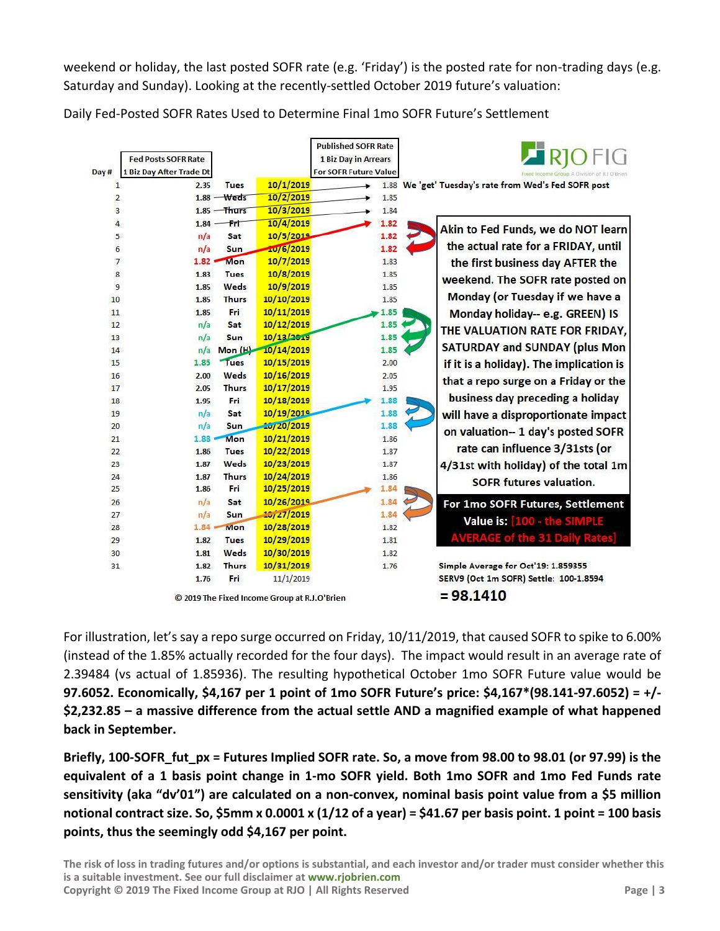weekend or holiday, the last posted SOFR rate (e.g. 'Friday') is the posted rate for non-trading days (e.g. Saturday and Sunday). Looking at the recently-settled October 2019 future's valuation:

| Day # | <b>Fed Posts SOFR Rate</b><br>1 Biz Day After Trade Dt |                |                                              | <b>Published SOFR Rate</b><br>1 Biz Day in Arrears<br>For SOFR Future Value |                                                       |
|-------|--------------------------------------------------------|----------------|----------------------------------------------|-----------------------------------------------------------------------------|-------------------------------------------------------|
|       | 2.35<br>$\mathbf{1}$                                   | Tues           | 10/1/2019                                    |                                                                             | 1.88 We 'get' Tuesday's rate from Wed's Fed SOFR post |
|       | $\overline{2}$                                         | $1.88$ – Weds  | 10/2/2019                                    | 1.85                                                                        |                                                       |
|       | 3                                                      | $1.85 -$ Thurs | 10/3/2019                                    | 1.84                                                                        |                                                       |
|       | $\ddot{4}$<br>$1.84 -$                                 | $F$ rt         | 10/4/2019                                    | 1.82                                                                        |                                                       |
|       | n/a<br>5                                               | Sat            | 10/5/2019                                    | 1.82                                                                        | Akin to Fed Funds, we do NOT learn                    |
|       | n/a<br>6                                               | Sun            | 10/6/2019                                    | 1.82                                                                        | the actual rate for a FRIDAY, until                   |
|       | $\overline{7}$<br>$1.82 =$                             | Mon            | 10/7/2019                                    | 1.83                                                                        | the first business day AFTER the                      |
|       | 8<br>1.83                                              | <b>Tues</b>    | 10/8/2019                                    | 1.85                                                                        |                                                       |
|       | 9<br>1.85                                              | Weds           | 10/9/2019                                    | 1.85                                                                        | weekend. The SOFR rate posted on                      |
| 10    | 1.85                                                   | <b>Thurs</b>   | 10/10/2019                                   | 1.85                                                                        | Monday (or Tuesday if we have a                       |
| 11    | 1.85                                                   | Fri            | 10/11/2019                                   | 1.85                                                                        | Monday holiday-- e.g. GREEN) IS                       |
| 12    | n/a                                                    | Sat            | 10/12/2019                                   | 1.85                                                                        |                                                       |
| 13    | n/a                                                    | Sun            | 10/13/2019                                   | 1.85                                                                        | THE VALUATION RATE FOR FRIDAY,                        |
| 14    | n/a                                                    | Mon (H)        | 10/14/2019                                   | 1.85                                                                        | <b>SATURDAY and SUNDAY (plus Mon</b>                  |
| 15    | 1.85                                                   | Tues           | 10/15/2019                                   | 2.00                                                                        | if it is a holiday). The implication is               |
| 16    | 2.00                                                   | Weds           | 10/16/2019                                   | 2.05                                                                        | that a repo surge on a Friday or the                  |
| 17    | 2.05                                                   | <b>Thurs</b>   | 10/17/2019                                   | 1.95                                                                        |                                                       |
| 18    | 1.95                                                   | Fri            | 10/18/2019                                   | 1.88                                                                        | business day preceding a holiday                      |
| 19    | n/a                                                    | Sat            | 10/19/2019                                   | 1.88                                                                        | will have a disproportionate impact                   |
| 20    | n/a                                                    | Sun            | 20/20/2019                                   | 1.88                                                                        | on valuation-- 1 day's posted SOFR                    |
| 21    | $1.88 +$                                               | Mon            | 10/21/2019                                   | 1.86                                                                        |                                                       |
| 22    | 1.86                                                   | <b>Tues</b>    | 10/22/2019                                   | 1.87                                                                        | rate can influence 3/31sts (or                        |
| 23    | 1.87                                                   | Weds           | 10/23/2019                                   | 1.87                                                                        | 4/31st with holiday) of the total 1m                  |
| 24    | 1.87                                                   | <b>Thurs</b>   | 10/24/2019                                   | 1.86                                                                        | <b>SOFR futures valuation.</b>                        |
| 25    | 1.86                                                   | Fri            | 10/25/2019                                   | 1.84                                                                        |                                                       |
| 26    | n/a                                                    | Sat            | 10/26/2019                                   | 1.84                                                                        | For 1mo SOFR Futures, Settlement                      |
| 27    | n/a                                                    | Sun            | 10/27/2019                                   | 1.84                                                                        | Value is: [100 - the SIMPLE                           |
| 28    | $1.84 =$                                               | Mon            | 10/28/2019                                   | 1.82                                                                        |                                                       |
| 29    | 1.82                                                   | <b>Tues</b>    | 10/29/2019                                   | 1.81                                                                        | <b>AVERAGE of the 31 Daily Rates</b>                  |
| 30    | 1.81                                                   | Weds           | 10/30/2019                                   | 1.82                                                                        |                                                       |
| 31    | 1.82                                                   | <b>Thurs</b>   | 10/31/2019                                   | 1.76                                                                        | Simple Average for Oct'19: 1.859355                   |
|       | 1.76                                                   | Fri            | 11/1/2019                                    |                                                                             | SERV9 (Oct 1m SOFR) Settle: 100-1.8594                |
|       |                                                        |                | © 2019 The Fixed Income Group at R.J.O'Brien |                                                                             | $= 98.1410$                                           |

Daily Fed-Posted SOFR Rates Used to Determine Final 1mo SOFR Future's Settlement

© 2019 The Fixed Income Group at R.J.O'Brien

For illustration, let's say a repo surge occurred on Friday, 10/11/2019, that caused SOFR to spike to 6.00% (instead of the 1.85% actually recorded for the four days). The impact would result in an average rate of 2.39484 (vs actual of 1.85936). The resulting hypothetical October 1mo SOFR Future value would be **97.6052. Economically, \$4,167 per 1 point of 1mo SOFR Future's price: \$4,167\*(98.141-97.6052) = +/- \$2,232.85 – a massive difference from the actual settle AND a magnified example of what happened back in September.**

**Briefly, 100-SOFR\_fut\_px = Futures Implied SOFR rate. So, a move from 98.00 to 98.01 (or 97.99) is the equivalent of a 1 basis point change in 1-mo SOFR yield. Both 1mo SOFR and 1mo Fed Funds rate sensitivity (aka "dv'01") are calculated on a non-convex, nominal basis point value from a \$5 million notional contract size. So, \$5mm x 0.0001 x (1/12 of a year) = \$41.67 per basis point. 1 point = 100 basis points, thus the seemingly odd \$4,167 per point.**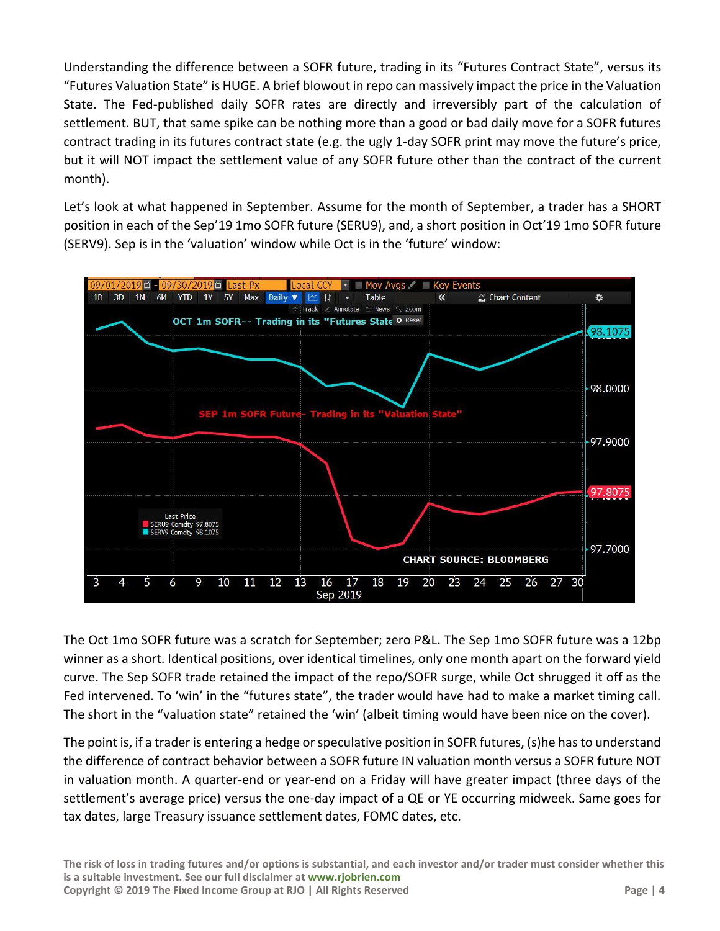Understanding the difference between a SOFR future, trading in its "Futures Contract State", versus its "Futures Valuation State" is HUGE. A brief blowout in repo can massively impact the price in the Valuation State. The Fed-published daily SOFR rates are directly and irreversibly part of the calculation of settlement. BUT, that same spike can be nothing more than a good or bad daily move for a SOFR futures contract trading in its futures contract state (e.g. the ugly 1-day SOFR print may move the future's price, but it will NOT impact the settlement value of any SOFR future other than the contract of the current month).

Let's look at what happened in September. Assume for the month of September, a trader has a SHORT position in each of the Sep'19 1mo SOFR future (SERU9), and, a short position in Oct'19 1mo SOFR future (SERV9). Sep is in the 'valuation' window while Oct is in the 'future' window:



The Oct 1mo SOFR future was a scratch for September; zero P&L. The Sep 1mo SOFR future was a 12bp winner as a short. Identical positions, over identical timelines, only one month apart on the forward yield curve. The Sep SOFR trade retained the impact of the repo/SOFR surge, while Oct shrugged it off as the Fed intervened. To 'win' in the "futures state", the trader would have had to make a market timing call. The short in the "valuation state" retained the 'win' (albeit timing would have been nice on the cover).

The point is, if a trader is entering a hedge or speculative position in SOFR futures, (s)he has to understand the difference of contract behavior between a SOFR future IN valuation month versus a SOFR future NOT in valuation month. A quarter-end or year-end on a Friday will have greater impact (three days of the settlement's average price) versus the one-day impact of a QE or YE occurring midweek. Same goes for tax dates, large Treasury issuance settlement dates, FOMC dates, etc.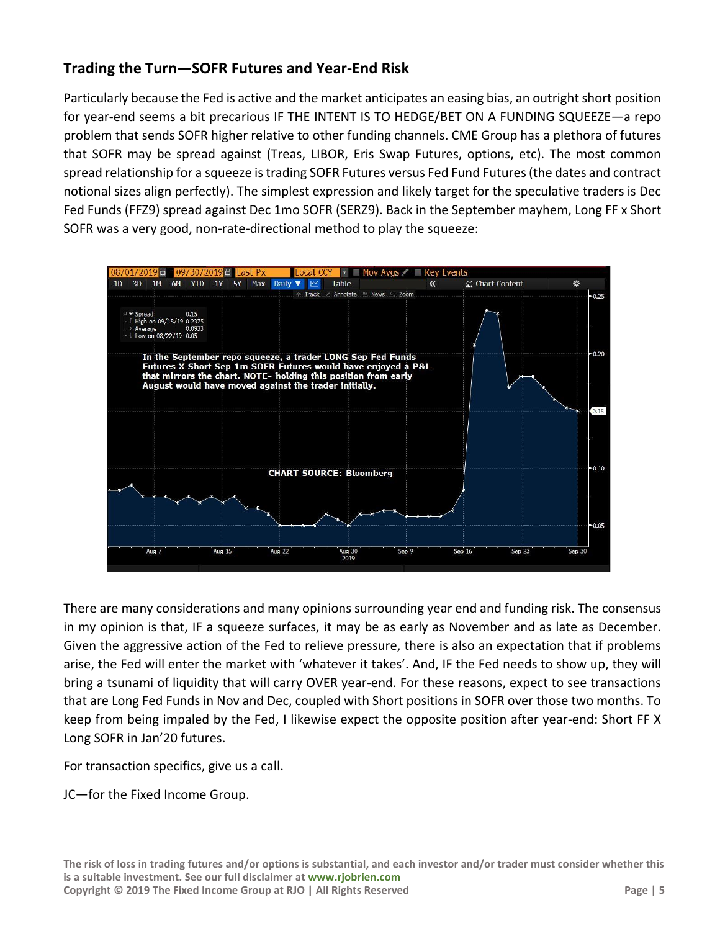## **Trading the Turn—SOFR Futures and Year-End Risk**

Particularly because the Fed is active and the market anticipates an easing bias, an outright short position for year-end seems a bit precarious IF THE INTENT IS TO HEDGE/BET ON A FUNDING SQUEEZE—a repo problem that sends SOFR higher relative to other funding channels. CME Group has a plethora of futures that SOFR may be spread against (Treas, LIBOR, Eris Swap Futures, options, etc). The most common spread relationship for a squeeze is trading SOFR Futures versus Fed Fund Futures (the dates and contract notional sizes align perfectly). The simplest expression and likely target for the speculative traders is Dec Fed Funds (FFZ9) spread against Dec 1mo SOFR (SERZ9). Back in the September mayhem, Long FF x Short SOFR was a very good, non-rate-directional method to play the squeeze:



There are many considerations and many opinions surrounding year end and funding risk. The consensus in my opinion is that, IF a squeeze surfaces, it may be as early as November and as late as December. Given the aggressive action of the Fed to relieve pressure, there is also an expectation that if problems arise, the Fed will enter the market with 'whatever it takes'. And, IF the Fed needs to show up, they will bring a tsunami of liquidity that will carry OVER year-end. For these reasons, expect to see transactions that are Long Fed Funds in Nov and Dec, coupled with Short positions in SOFR over those two months. To keep from being impaled by the Fed, I likewise expect the opposite position after year-end: Short FF X Long SOFR in Jan'20 futures.

For transaction specifics, give us a call.

JC—for the Fixed Income Group.